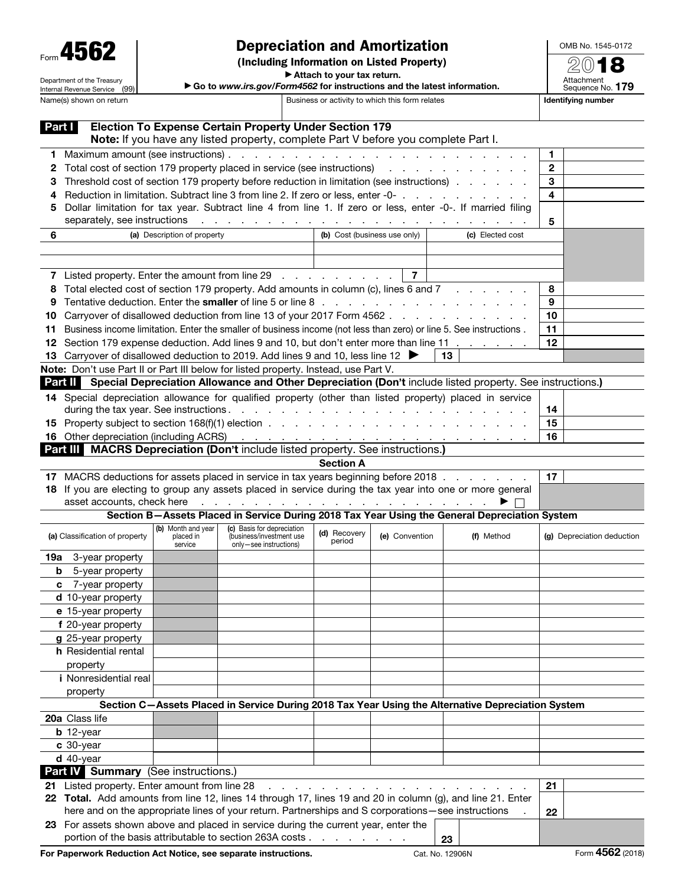| Form 4562 |
|-----------|
|-----------|

Department of the Treasury Internal Revenue Service (99)

## Depreciation and Amortization

(Including Information on Listed Property)

OMB No. 1545-0172  $\overline{2012}$ 

▶ Attach to your tax return. ▶ Go to *www.irs.gov/Form4562* for instructions and the latest information.

| $\sim$            |
|-------------------|
| Attachment        |
| Sequence No. 179  |
| lentifving numher |

| Name(s) shown on return                                                              |                                                                                                                                                                                                                                                                                                                           |                                            |                                                                                  | Business or activity to which this form relates |                              |                  |                                                                                                                         | <b>Identifying number</b>  |  |
|--------------------------------------------------------------------------------------|---------------------------------------------------------------------------------------------------------------------------------------------------------------------------------------------------------------------------------------------------------------------------------------------------------------------------|--------------------------------------------|----------------------------------------------------------------------------------|-------------------------------------------------|------------------------------|------------------|-------------------------------------------------------------------------------------------------------------------------|----------------------------|--|
| Part I                                                                               |                                                                                                                                                                                                                                                                                                                           |                                            | <b>Election To Expense Certain Property Under Section 179</b>                    |                                                 |                              |                  |                                                                                                                         |                            |  |
|                                                                                      | Note: If you have any listed property, complete Part V before you complete Part I.                                                                                                                                                                                                                                        |                                            |                                                                                  |                                                 |                              |                  |                                                                                                                         | 1                          |  |
| 2                                                                                    | Total cost of section 179 property placed in service (see instructions) and a cost of section 179 property placed in service (see instructions)                                                                                                                                                                           |                                            |                                                                                  |                                                 |                              |                  | $\mathbf{2}$                                                                                                            |                            |  |
|                                                                                      |                                                                                                                                                                                                                                                                                                                           |                                            |                                                                                  |                                                 |                              |                  | 3                                                                                                                       |                            |  |
|                                                                                      | Threshold cost of section 179 property before reduction in limitation (see instructions)                                                                                                                                                                                                                                  |                                            |                                                                                  |                                                 |                              |                  | 4                                                                                                                       |                            |  |
| 5                                                                                    | Reduction in limitation. Subtract line 3 from line 2. If zero or less, enter -0-<br>Dollar limitation for tax year. Subtract line 4 from line 1. If zero or less, enter -0-. If married filing<br>separately, see instructions<br>والمتعاونة والمتعاونة والمتعاونة والمتعاونة والمتعاونة والمتعاونة والمتعاونة والمتعاونة |                                            |                                                                                  |                                                 |                              |                  |                                                                                                                         |                            |  |
|                                                                                      |                                                                                                                                                                                                                                                                                                                           |                                            |                                                                                  |                                                 |                              |                  |                                                                                                                         |                            |  |
|                                                                                      |                                                                                                                                                                                                                                                                                                                           |                                            |                                                                                  |                                                 |                              |                  |                                                                                                                         | 5                          |  |
| 6                                                                                    | (a) Description of property                                                                                                                                                                                                                                                                                               |                                            |                                                                                  |                                                 | (b) Cost (business use only) | (c) Elected cost |                                                                                                                         |                            |  |
|                                                                                      |                                                                                                                                                                                                                                                                                                                           |                                            |                                                                                  |                                                 |                              |                  |                                                                                                                         |                            |  |
|                                                                                      |                                                                                                                                                                                                                                                                                                                           |                                            |                                                                                  |                                                 |                              |                  |                                                                                                                         |                            |  |
|                                                                                      | $\overline{7}$<br>7 Listed property. Enter the amount from line 29<br>Total elected cost of section 179 property. Add amounts in column (c), lines 6 and 7                                                                                                                                                                |                                            |                                                                                  |                                                 |                              |                  |                                                                                                                         |                            |  |
| 8                                                                                    |                                                                                                                                                                                                                                                                                                                           | 8                                          |                                                                                  |                                                 |                              |                  |                                                                                                                         |                            |  |
|                                                                                      |                                                                                                                                                                                                                                                                                                                           |                                            |                                                                                  |                                                 |                              |                  |                                                                                                                         | 9                          |  |
| 10                                                                                   | Carryover of disallowed deduction from line 13 of your 2017 Form 4562                                                                                                                                                                                                                                                     |                                            |                                                                                  |                                                 |                              |                  |                                                                                                                         | 10                         |  |
| 11                                                                                   | Business income limitation. Enter the smaller of business income (not less than zero) or line 5. See instructions.                                                                                                                                                                                                        |                                            |                                                                                  |                                                 |                              |                  |                                                                                                                         | 11                         |  |
| 12.                                                                                  |                                                                                                                                                                                                                                                                                                                           |                                            |                                                                                  |                                                 |                              |                  | Section 179 expense deduction. Add lines 9 and 10, but don't enter more than line 11                                    | 12                         |  |
|                                                                                      | 13 Carryover of disallowed deduction to 2019. Add lines 9 and 10, less line 12                                                                                                                                                                                                                                            |                                            |                                                                                  |                                                 |                              |                  | 13                                                                                                                      |                            |  |
|                                                                                      | Note: Don't use Part II or Part III below for listed property. Instead, use Part V.                                                                                                                                                                                                                                       |                                            |                                                                                  |                                                 |                              |                  |                                                                                                                         |                            |  |
|                                                                                      |                                                                                                                                                                                                                                                                                                                           |                                            |                                                                                  |                                                 |                              |                  | <b>Part II</b> Special Depreciation Allowance and Other Depreciation (Don't include listed property. See instructions.) |                            |  |
|                                                                                      |                                                                                                                                                                                                                                                                                                                           |                                            |                                                                                  |                                                 |                              |                  | 14 Special depreciation allowance for qualified property (other than listed property) placed in service                 |                            |  |
|                                                                                      |                                                                                                                                                                                                                                                                                                                           |                                            |                                                                                  |                                                 |                              |                  |                                                                                                                         | 14                         |  |
|                                                                                      |                                                                                                                                                                                                                                                                                                                           |                                            |                                                                                  |                                                 |                              |                  |                                                                                                                         | 15                         |  |
|                                                                                      | <b>16</b> Other depreciation (including ACRS)                                                                                                                                                                                                                                                                             | 16                                         |                                                                                  |                                                 |                              |                  |                                                                                                                         |                            |  |
|                                                                                      | Part III MACRS Depreciation (Don't include listed property. See instructions.)                                                                                                                                                                                                                                            |                                            |                                                                                  |                                                 |                              |                  |                                                                                                                         |                            |  |
|                                                                                      |                                                                                                                                                                                                                                                                                                                           |                                            |                                                                                  |                                                 | <b>Section A</b>             |                  |                                                                                                                         |                            |  |
|                                                                                      |                                                                                                                                                                                                                                                                                                                           |                                            |                                                                                  |                                                 |                              |                  |                                                                                                                         | 17                         |  |
|                                                                                      | 17 MACRS deductions for assets placed in service in tax years beginning before 2018<br>18 If you are electing to group any assets placed in service during the tax year into one or more general                                                                                                                          |                                            |                                                                                  |                                                 |                              |                  |                                                                                                                         |                            |  |
|                                                                                      | asset accounts, check here                                                                                                                                                                                                                                                                                                |                                            |                                                                                  |                                                 |                              |                  |                                                                                                                         |                            |  |
|                                                                                      |                                                                                                                                                                                                                                                                                                                           |                                            |                                                                                  |                                                 |                              |                  | Section B-Assets Placed in Service During 2018 Tax Year Using the General Depreciation System                           |                            |  |
|                                                                                      | (a) Classification of property                                                                                                                                                                                                                                                                                            | (b) Month and year<br>placed in<br>service | (c) Basis for depreciation<br>(business/investment use<br>only-see instructions) |                                                 | (d) Recovery<br>period       | (e) Convention   | (f) Method                                                                                                              | (g) Depreciation deduction |  |
| 19а                                                                                  | 3-year property                                                                                                                                                                                                                                                                                                           |                                            |                                                                                  |                                                 |                              |                  |                                                                                                                         |                            |  |
| b                                                                                    | 5-year property                                                                                                                                                                                                                                                                                                           |                                            |                                                                                  |                                                 |                              |                  |                                                                                                                         |                            |  |
| c                                                                                    | 7-year property                                                                                                                                                                                                                                                                                                           |                                            |                                                                                  |                                                 |                              |                  |                                                                                                                         |                            |  |
|                                                                                      | d 10-year property                                                                                                                                                                                                                                                                                                        |                                            |                                                                                  |                                                 |                              |                  |                                                                                                                         |                            |  |
|                                                                                      | e 15-year property                                                                                                                                                                                                                                                                                                        |                                            |                                                                                  |                                                 |                              |                  |                                                                                                                         |                            |  |
|                                                                                      | f 20-year property                                                                                                                                                                                                                                                                                                        |                                            |                                                                                  |                                                 |                              |                  |                                                                                                                         |                            |  |
|                                                                                      | g 25-year property                                                                                                                                                                                                                                                                                                        |                                            |                                                                                  |                                                 |                              |                  |                                                                                                                         |                            |  |
|                                                                                      | <b>h</b> Residential rental                                                                                                                                                                                                                                                                                               |                                            |                                                                                  |                                                 |                              |                  |                                                                                                                         |                            |  |
|                                                                                      | property                                                                                                                                                                                                                                                                                                                  |                                            |                                                                                  |                                                 |                              |                  |                                                                                                                         |                            |  |
|                                                                                      | <i>i</i> Nonresidential real                                                                                                                                                                                                                                                                                              |                                            |                                                                                  |                                                 |                              |                  |                                                                                                                         |                            |  |
|                                                                                      | property                                                                                                                                                                                                                                                                                                                  |                                            |                                                                                  |                                                 |                              |                  |                                                                                                                         |                            |  |
|                                                                                      |                                                                                                                                                                                                                                                                                                                           |                                            |                                                                                  |                                                 |                              |                  | Section C-Assets Placed in Service During 2018 Tax Year Using the Alternative Depreciation System                       |                            |  |
|                                                                                      | 20a Class life                                                                                                                                                                                                                                                                                                            |                                            |                                                                                  |                                                 |                              |                  |                                                                                                                         |                            |  |
|                                                                                      | <b>b</b> 12-year                                                                                                                                                                                                                                                                                                          |                                            |                                                                                  |                                                 |                              |                  |                                                                                                                         |                            |  |
|                                                                                      | $c$ 30-year                                                                                                                                                                                                                                                                                                               |                                            |                                                                                  |                                                 |                              |                  |                                                                                                                         |                            |  |
|                                                                                      | $d$ 40-year                                                                                                                                                                                                                                                                                                               |                                            |                                                                                  |                                                 |                              |                  |                                                                                                                         |                            |  |
|                                                                                      |                                                                                                                                                                                                                                                                                                                           |                                            |                                                                                  |                                                 |                              |                  |                                                                                                                         |                            |  |
| Part IV Summary (See instructions.)<br>21 Listed property. Enter amount from line 28 |                                                                                                                                                                                                                                                                                                                           |                                            |                                                                                  |                                                 |                              |                  |                                                                                                                         | 21                         |  |
|                                                                                      |                                                                                                                                                                                                                                                                                                                           |                                            |                                                                                  |                                                 |                              |                  |                                                                                                                         |                            |  |
|                                                                                      | 22 Total. Add amounts from line 12, lines 14 through 17, lines 19 and 20 in column (g), and line 21. Enter<br>here and on the appropriate lines of your return. Partnerships and S corporations-see instructions                                                                                                          |                                            |                                                                                  |                                                 |                              |                  |                                                                                                                         |                            |  |
|                                                                                      |                                                                                                                                                                                                                                                                                                                           |                                            |                                                                                  |                                                 |                              |                  | 22                                                                                                                      |                            |  |
|                                                                                      | 23 For assets shown above and placed in service during the current year, enter the<br>portion of the basis attributable to section 263A costs<br>23                                                                                                                                                                       |                                            |                                                                                  |                                                 |                              |                  |                                                                                                                         |                            |  |